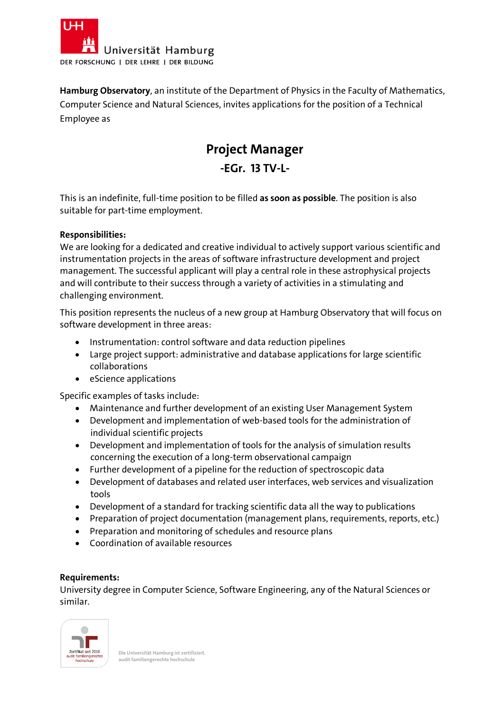

**Hamburg Observatory**, an institute of the Department of Physics in the Faculty of Mathematics, Computer Science and Natural Sciences, invites applications for the position of a Technical Employee as

# **Project Manager -EGr. 13 TV-L-**

This is an indefinite, full-time position to be filled **as soon as possible**. The position is also suitable for part-time employment.

### **Responsibilities:**

We are looking for a dedicated and creative individual to actively support various scientific and instrumentation projects in the areas of software infrastructure development and project management. The successful applicant will play a central role in these astrophysical projects and will contribute to their success through a variety of activities in a stimulating and challenging environment.

This position represents the nucleus of a new group at Hamburg Observatory that will focus on software development in three areas:

- Instrumentation: control software and data reduction pipelines
- Large project support: administrative and database applications for large scientific collaborations
- eScience applications

Specific examples of tasks include:

- Maintenance and further development of an existing User Management System
- Development and implementation of web-based tools for the administration of individual scientific projects
- Development and implementation of tools for the analysis of simulation results concerning the execution of a long-term observational campaign
- Further development of a pipeline for the reduction of spectroscopic data
- Development of databases and related user interfaces, web services and visualization tools
- Development of a standard for tracking scientific data all the way to publications
- Preparation of project documentation (management plans, requirements, reports, etc.)
- Preparation and monitoring of schedules and resource plans
- Coordination of available resources

#### **Requirements:**

University degree in Computer Science, Software Engineering, any of the Natural Sciences or similar.



**Die Universität Hamburg ist zertifiziert. audit familiengerechte hochschule**